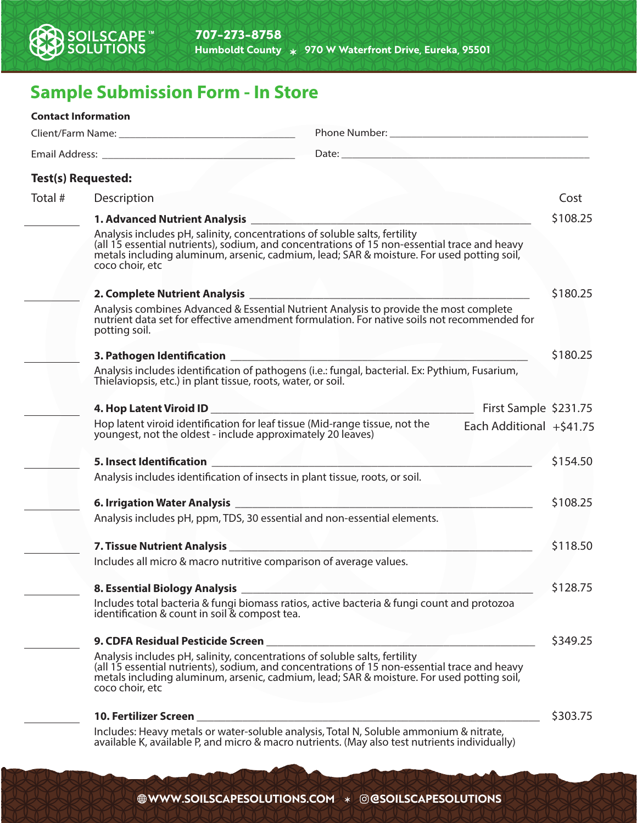

## **Sample Submission Form - In Store**

|         | <b>Contact Information</b>                                                                                                                                                                                                                                                                 |  |                             |          |
|---------|--------------------------------------------------------------------------------------------------------------------------------------------------------------------------------------------------------------------------------------------------------------------------------------------|--|-----------------------------|----------|
|         |                                                                                                                                                                                                                                                                                            |  |                             |          |
|         |                                                                                                                                                                                                                                                                                            |  |                             |          |
|         | <b>Test(s) Requested:</b>                                                                                                                                                                                                                                                                  |  |                             |          |
| Total # | Description                                                                                                                                                                                                                                                                                |  |                             | Cost     |
|         |                                                                                                                                                                                                                                                                                            |  |                             | \$108.25 |
|         | Analysis includes pH, salinity, concentrations of soluble salts, fertility<br>(all 15 essential nutrients), sodium, and concentrations of 15 non-essential trace and heavy metals including aluminum, arsenic, cadmium, lead; SAR & moisture. For used potting soil,<br>coco choir, etc    |  |                             |          |
|         |                                                                                                                                                                                                                                                                                            |  |                             | \$180.25 |
|         | Analysis combines Advanced & Essential Nutrient Analysis to provide the most complete<br>nutrient data set for effective amendment formulation. For native soils not recommended for<br>potting soil.                                                                                      |  |                             |          |
|         |                                                                                                                                                                                                                                                                                            |  |                             | \$180.25 |
|         | Analysis includes identification of pathogens (i.e.: fungal, bacterial. Ex: Pythium, Fusarium,<br>Thielaviopsis, etc.) in plant tissue, roots, water, or soil.                                                                                                                             |  |                             |          |
|         |                                                                                                                                                                                                                                                                                            |  |                             |          |
|         | Hop latent viroid identification for leaf tissue (Mid-range tissue, not the<br>youngest, not the oldest - include approximately 20 leaves)                                                                                                                                                 |  | Each Additional $+$ \$41.75 |          |
|         | <b>5. Insect Identification Section Section Section Section Section Section Section Section Section Section Section Section Section Section Section Section Section Section Section Sect</b>                                                                                               |  |                             | \$154.50 |
|         | Analysis includes identification of insects in plant tissue, roots, or soil.                                                                                                                                                                                                               |  |                             |          |
|         |                                                                                                                                                                                                                                                                                            |  |                             | \$108.25 |
|         | Analysis includes pH, ppm, TDS, 30 essential and non-essential elements.                                                                                                                                                                                                                   |  |                             |          |
|         |                                                                                                                                                                                                                                                                                            |  |                             | \$118.50 |
|         | Includes all micro & macro nutritive comparison of average values.                                                                                                                                                                                                                         |  |                             |          |
|         |                                                                                                                                                                                                                                                                                            |  |                             | \$128.75 |
|         | Includes total bacteria & fungi biomass ratios, active bacteria & fungi count and protozoa<br>identification & count in soil & compost tea.                                                                                                                                                |  |                             |          |
|         | 9. CDFA Residual Pesticide Screen                                                                                                                                                                                                                                                          |  |                             | \$349.25 |
|         | Analysis includes pH, salinity, concentrations of soluble salts, fertility<br>(all 15 essential nutrients), sodium, and concentrations of 15 non-essential trace and heavy<br>metals including aluminum, arsenic, cadmium, lead; SAR & moisture. For used potting soil,<br>coco choir, etc |  |                             |          |
|         | <b>10. Fertilizer Screen</b>                                                                                                                                                                                                                                                               |  |                             | \$303.75 |

Includes: Heavy metals or water-soluble analysis, Total N, Soluble ammonium & nitrate, available K, available P, and micro & macro nutrients. (May also test nutrients individually)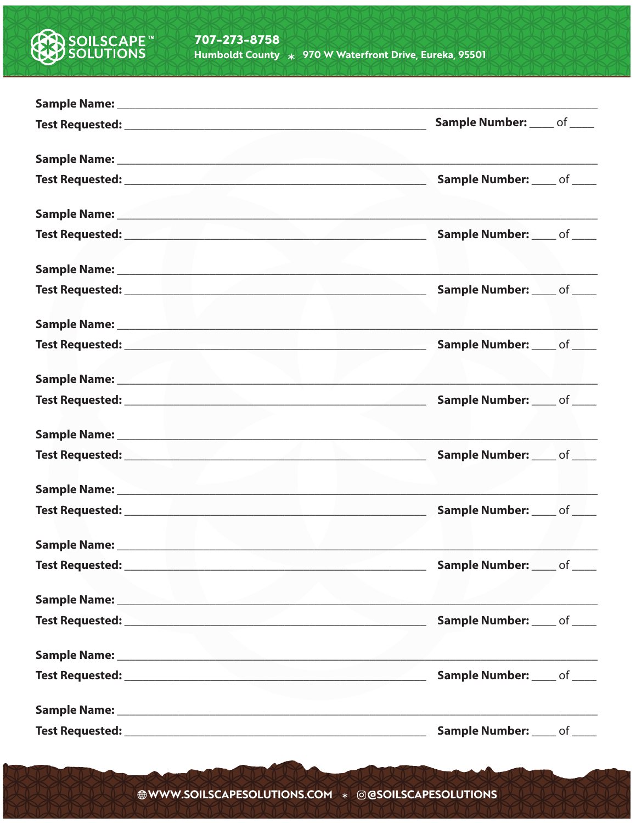

|                                                                                                                                                                                                                                | Sample Number: ____ of ____                                                                                                                                                                                                    |
|--------------------------------------------------------------------------------------------------------------------------------------------------------------------------------------------------------------------------------|--------------------------------------------------------------------------------------------------------------------------------------------------------------------------------------------------------------------------------|
|                                                                                                                                                                                                                                |                                                                                                                                                                                                                                |
|                                                                                                                                                                                                                                | Sample Number: ____ of ____                                                                                                                                                                                                    |
|                                                                                                                                                                                                                                |                                                                                                                                                                                                                                |
|                                                                                                                                                                                                                                | Sample Number: ____ of ____                                                                                                                                                                                                    |
|                                                                                                                                                                                                                                | Sample Name: Name: Name: Name: Name: Name: Name: Name: Name: Name: Name: Name: Name: Name: Name: Name: Name: N                                                                                                                 |
|                                                                                                                                                                                                                                | Sample Number: ____ of ____                                                                                                                                                                                                    |
|                                                                                                                                                                                                                                |                                                                                                                                                                                                                                |
|                                                                                                                                                                                                                                | Sample Number: ____ of ____                                                                                                                                                                                                    |
|                                                                                                                                                                                                                                | Sample Name: North and Sample Name: North and Sample Name: North and Sample Name: North and Sample Name: North and Sample School and Sample School and Sample School and Sample School and Sample School and Sample School and |
|                                                                                                                                                                                                                                | Sample Number: ____ of ____                                                                                                                                                                                                    |
|                                                                                                                                                                                                                                |                                                                                                                                                                                                                                |
|                                                                                                                                                                                                                                | Sample Number: ____ of ____                                                                                                                                                                                                    |
|                                                                                                                                                                                                                                | Sample Name: 1988 and 1989 and 1989 and 1989 and 1989 and 1989 and 1989 and 1989 and 1989 and 1989 and 1989 and 1989 and 1989 and 1989 and 1989 and 1989 and 1989 and 1989 and 1989 and 1989 and 1989 and 1989 and 1989 and 19 |
|                                                                                                                                                                                                                                | Sample Number: ____ of ____                                                                                                                                                                                                    |
| Sample Name: 1988 and 2008 and 2008 and 2008 and 2008 and 2008 and 2008 and 2008 and 2008 and 2008 and 2008 and 2008 and 2008 and 2008 and 2008 and 2008 and 2008 and 2008 and 2008 and 2008 and 2008 and 2008 and 2008 and 20 |                                                                                                                                                                                                                                |
|                                                                                                                                                                                                                                | Sample Number: ____ of ____                                                                                                                                                                                                    |
| Sample Name: Name: Name: Name: Name: Name: Name: Name: Name: Name: Name: Name: Name: Name: Name: Name: Name: N                                                                                                                 |                                                                                                                                                                                                                                |
|                                                                                                                                                                                                                                | <b>Sample Number:</b> of _____                                                                                                                                                                                                 |
|                                                                                                                                                                                                                                | Sample Name: Name: Name: Name: Name: Name: Name: Name: Name: Name: Name: Name: Name: Name: Name: Name: Name: Name: Name: Name: Name: Name: Name: Name: Name: Name: Name: Name: Name: Name: Name: Name: Name: Name: Name: Name: |
|                                                                                                                                                                                                                                | <b>Sample Number:</b> ____ of ____                                                                                                                                                                                             |
|                                                                                                                                                                                                                                |                                                                                                                                                                                                                                |
|                                                                                                                                                                                                                                | Sample Number: ____ of ____                                                                                                                                                                                                    |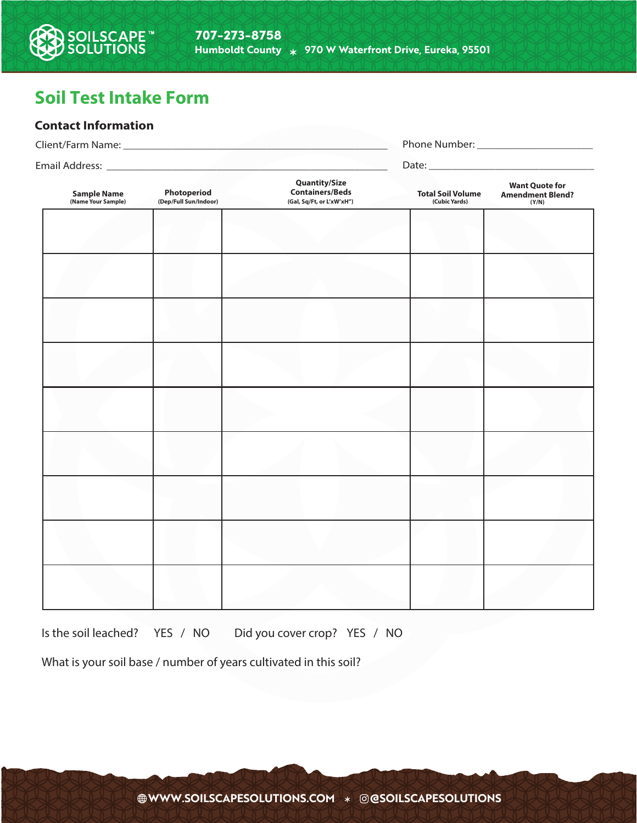## **Soil Test Intake Form**

**DILSCAPE™**<br>DLUTIONS

## **Contact Information**

| <b>Sample Name</b><br>(Name Your Sample) | Photoperiod<br>(Dep/Full Sun/Indoor) | <b>Quantity/Size</b><br><b>Containers/Beds</b><br>(Gal, Sq/Ft, or L'xW'xH") | <b>Total Soil Volume</b><br>(Cubic Yards) | <b>Want Quote for</b><br><b>Amendment Blend?</b><br>(Y/N) |  |
|------------------------------------------|--------------------------------------|-----------------------------------------------------------------------------|-------------------------------------------|-----------------------------------------------------------|--|
|                                          |                                      |                                                                             |                                           |                                                           |  |
|                                          |                                      |                                                                             |                                           |                                                           |  |
|                                          |                                      |                                                                             |                                           |                                                           |  |
|                                          |                                      |                                                                             |                                           |                                                           |  |
|                                          |                                      |                                                                             |                                           |                                                           |  |
|                                          |                                      |                                                                             |                                           |                                                           |  |
|                                          |                                      |                                                                             |                                           |                                                           |  |
|                                          |                                      |                                                                             |                                           |                                                           |  |
|                                          |                                      |                                                                             |                                           |                                                           |  |

Is the soil leached? YES / NO Did you cover crop? YES / NO

What is your soil base / number of years cultivated in this soil?